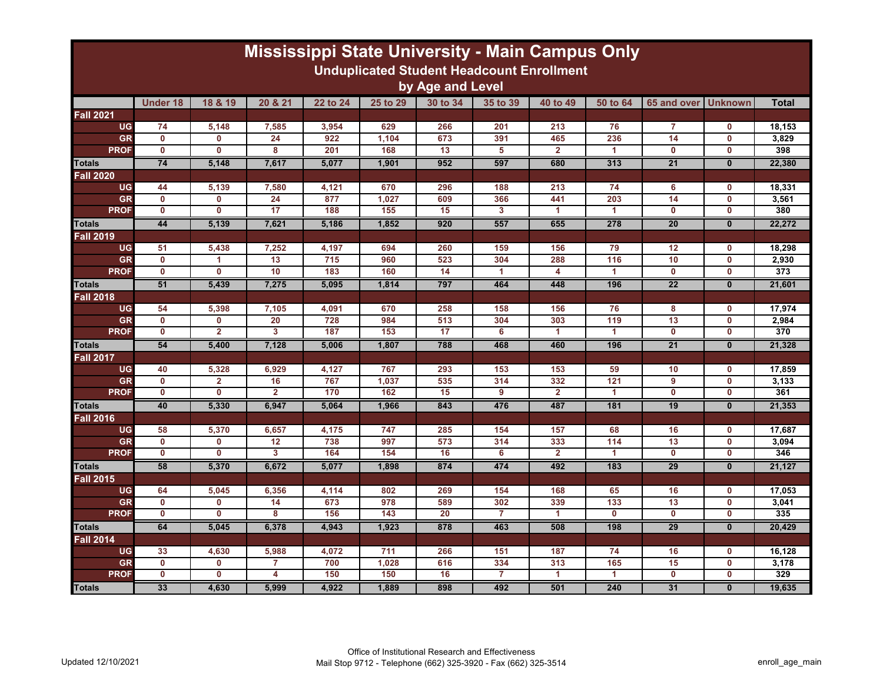| <b>Mississippi State University - Main Campus Only</b><br><b>Unduplicated Student Headcount Enrollment</b> |                 |                         |                |          |          |                 |                 |                |              |                         |                |              |
|------------------------------------------------------------------------------------------------------------|-----------------|-------------------------|----------------|----------|----------|-----------------|-----------------|----------------|--------------|-------------------------|----------------|--------------|
| by Age and Level                                                                                           |                 |                         |                |          |          |                 |                 |                |              |                         |                |              |
|                                                                                                            | <b>Under 18</b> | 18 & 19                 | 20 & 21        | 22 to 24 | 25 to 29 | 30 to 34        | 35 to 39        | 40 to 49       | 50 to 64     | 65 and over             | <b>Unknown</b> | <b>Total</b> |
| <b>Fall 2021</b>                                                                                           |                 |                         |                |          |          |                 |                 |                |              |                         |                |              |
| <b>UG</b>                                                                                                  | 74              | 5,148                   | 7,585          | 3,954    | 629      | 266             | 201             | 213            | 76           | $\overline{7}$          | $\mathbf{0}$   | 18.153       |
| <b>GR</b>                                                                                                  | $\mathbf 0$     | 0                       | 24             | 922      | 1,104    | 673             | 391             | 465            | 236          | 14                      | $\mathbf 0$    | 3,829        |
| <b>PROF</b>                                                                                                | $\mathbf 0$     | $\overline{\mathbf{0}}$ | 8              | 201      | 168      | 13              | 5               | $\overline{2}$ | 1            | $\mathbf 0$             | $\mathbf 0$    | 398          |
| <b>Totals</b>                                                                                              | 74              | 5.148                   | 7,617          | 5.077    | 1.901    | 952             | 597             | 680            | 313          | $\overline{21}$         | $\mathbf{0}$   | 22.380       |
| <b>Fall 2020</b>                                                                                           |                 |                         |                |          |          |                 |                 |                |              |                         |                |              |
| <b>UG</b>                                                                                                  | 44              | 5,139                   | 7,580          | 4,121    | 670      | 296             | 188             | 213            | 74           | 6                       | 0              | 18,331       |
| <b>GR</b>                                                                                                  | $\mathbf{0}$    | 0                       | 24             | 877      | 1.027    | 609             | 366             | 441            | 203          | 14                      | $\mathbf{0}$   | 3.561        |
| <b>PROF</b>                                                                                                | $\mathbf{0}$    | 0                       | 17             | 188      | 155      | 15              | 3               | 1              | 1            | $\mathbf{0}$            | $\mathbf 0$    | 380          |
| <b>Totals</b>                                                                                              | 44              | 5,139                   | 7,621          | 5,186    | 1,852    | 920             | 557             | 655            | 278          | 20                      | $\mathbf{0}$   | 22,272       |
| <b>Fall 2019</b>                                                                                           |                 |                         |                |          |          |                 |                 |                |              |                         |                |              |
| <b>UG</b>                                                                                                  | 51              | 5,438                   | 7,252          | 4,197    | 694      | 260             | 159             | 156            | 79           | 12                      | 0              | 18,298       |
| <b>GR</b>                                                                                                  | $\mathbf{0}$    | 1                       | 13             | 715      | 960      | 523             | 304             | 288            | 116          | 10                      | $\mathbf 0$    | 2,930        |
| <b>PROF</b>                                                                                                | $\mathbf 0$     | 0                       | 10             | 183      | 160      | 14              | -1              | 4              | 1            | $\mathbf 0$             | $\mathbf 0$    | 373          |
| <b>Totals</b>                                                                                              | 51              | 5,439                   | 7,275          | 5,095    | 1,814    | 797             | 464             | 448            | 196          | 22                      | $\mathbf{0}$   | 21,601       |
| <b>Fall 2018</b>                                                                                           |                 |                         |                |          |          |                 |                 |                |              |                         |                |              |
| <b>UG</b>                                                                                                  | 54              | 5,398                   | 7,105          | 4,091    | 670      | 258             | 158             | 156            | 76           | 8                       | $\mathbf 0$    | 17,974       |
| GR                                                                                                         | $\mathbf{0}$    | 0                       | 20             | 728      | 984      | 513             | 304             | 303            | 119          | 13                      | $\mathbf{0}$   | 2,984        |
| <b>PROF</b>                                                                                                | $\mathbf 0$     | $\overline{\mathbf{2}}$ | $\overline{3}$ | 187      | 153      | 17              | $6\overline{6}$ | 1              | 1            | $\mathbf 0$             | $\bf{0}$       | 370          |
| <b>Totals</b>                                                                                              | 54              | 5,400                   | 7,128          | 5,006    | 1.807    | 788             | 468             | 460            | 196          | $\overline{21}$         | $\mathbf{0}$   | 21.328       |
| <b>Fall 2017</b>                                                                                           |                 |                         |                |          |          |                 |                 |                |              |                         |                |              |
| <b>UG</b>                                                                                                  | 40              | 5,328                   | 6,929          | 4,127    | 767      | 293             | 153             | 153            | 59           | 10                      | $\mathbf 0$    | 17,859       |
| GR                                                                                                         | $\mathbf{0}$    | $\overline{\mathbf{2}}$ | 16             | 767      | 1,037    | 535             | 314             | 332            | 121          | 9                       | $\mathbf 0$    | 3,133        |
| <b>PROF</b>                                                                                                | $\mathbf{0}$    | $\overline{\mathbf{0}}$ | $\overline{2}$ | 170      | 162      | 15              | 9               | $\overline{2}$ | 1            | $\mathbf{0}$            | $\mathbf 0$    | 361          |
| <b>Totals</b>                                                                                              | 40              | 5,330                   | 6,947          | 5,064    | 1,966    | 843             | 476             | 487            | 181          | 19                      | $\mathbf{0}$   | 21,353       |
| <b>Fall 2016</b>                                                                                           |                 |                         |                |          |          |                 |                 |                |              |                         |                |              |
| <b>UG</b>                                                                                                  | 58              | 5,370                   | 6,657          | 4,175    | 747      | 285             | 154             | 157            | 68           | 16                      | $\mathbf 0$    | 17,687       |
| <b>GR</b>                                                                                                  | $\mathbf 0$     | 0                       | 12             | 738      | 997      | 573             | 314             | 333            | 114          | 13                      | $\mathbf 0$    | 3,094        |
| <b>PROF</b>                                                                                                | $\mathbf 0$     | 0                       | 3              | 164      | 154      | 16              | 6               | $\overline{2}$ | 1            | $\mathbf 0$             | $\mathbf 0$    | 346          |
| <b>Totals</b>                                                                                              | 58              | 5,370                   | 6,672          | 5,077    | 1,898    | 874             | 474             | 492            | 183          | 29                      | $\mathbf{0}$   | 21,127       |
| Fall 2015                                                                                                  |                 |                         |                |          |          |                 |                 |                |              |                         |                |              |
| <b>UG</b>                                                                                                  | 64              | 5,045                   | 6,356          | 4,114    | 802      | 269             | 154             | 168            | 65           | 16                      | 0              | 17,053       |
| GR                                                                                                         | $\mathbf 0$     | 0                       | 14             | 673      | 978      | 589             | 302             | 339            | 133          | 13                      | $\mathbf{0}$   | 3,041        |
| <b>PROF</b>                                                                                                | $\mathbf 0$     | $\overline{\mathbf{0}}$ | 8              | 156      | 143      | $\overline{20}$ | $\overline{7}$  | 1              | $\mathbf{0}$ | $\overline{\mathbf{0}}$ | $\mathbf 0$    | 335          |
| <b>Totals</b>                                                                                              | 64              | 5.045                   | 6.378          | 4.943    | 1.923    | 878             | 463             | 508            | 198          | 29                      | $\mathbf{0}$   | 20.429       |
| <b>Fall 2014</b>                                                                                           |                 |                         |                |          |          |                 |                 |                |              |                         |                |              |
| <b>UG</b>                                                                                                  | 33              | 4,630                   | 5,988          | 4,072    | 711      | 266             | 151             | 187            | 74           | 16                      | $\mathbf 0$    | 16,128       |
| <b>GR</b>                                                                                                  | $\mathbf 0$     | 0                       | $\overline{7}$ | 700      | 1,028    | 616             | 334             | 313            | 165          | 15                      | $\mathbf 0$    | 3,178<br>329 |
| <b>PROF</b>                                                                                                | $\mathbf 0$     | 0                       | 4              | 150      | 150      | 16              | 7               | 1              | 1            | $\mathbf 0$             | $\mathbf 0$    |              |
| <b>Totals</b>                                                                                              | 33              | 4,630                   | 5,999          | 4,922    | 1,889    | 898             | 492             | 501            | 240          | 31                      | $\mathbf{0}$   | 19,635       |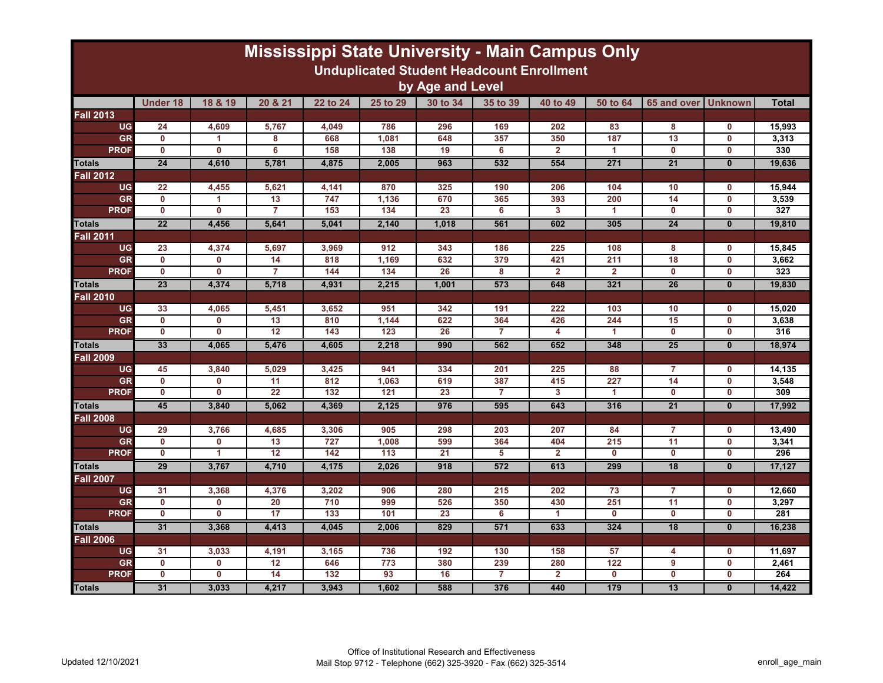| <b>Mississippi State University - Main Campus Only</b><br><b>Unduplicated Student Headcount Enrollment</b> |                 |                         |                 |          |          |                 |                |                |                |                 |                |              |
|------------------------------------------------------------------------------------------------------------|-----------------|-------------------------|-----------------|----------|----------|-----------------|----------------|----------------|----------------|-----------------|----------------|--------------|
| by Age and Level                                                                                           |                 |                         |                 |          |          |                 |                |                |                |                 |                |              |
|                                                                                                            | <b>Under 18</b> | 18 & 19                 | 20 & 21         | 22 to 24 | 25 to 29 | 30 to 34        | 35 to 39       | 40 to 49       | 50 to 64       | 65 and over     | <b>Unknown</b> | <b>Total</b> |
| <b>Fall 2013</b>                                                                                           |                 |                         |                 |          |          |                 |                |                |                |                 |                |              |
| <b>UG</b>                                                                                                  | 24              | 4,609                   | 5,767           | 4.049    | 786      | 296             | 169            | 202            | 83             | 8               | $\mathbf{0}$   | 15,993       |
| <b>GR</b>                                                                                                  | $\mathbf 0$     | 1                       | 8               | 668      | 1,081    | 648             | 357            | 350            | 187            | 13              | $\mathbf 0$    | 3,313        |
| <b>PROF</b>                                                                                                | $\mathbf{0}$    | 0                       | 6               | 158      | 138      | 19              | 6              | $\overline{2}$ | 1              | $\mathbf{0}$    | $\mathbf{0}$   | 330          |
| <b>Totals</b>                                                                                              | $\overline{24}$ | 4,610                   | 5,781           | 4,875    | 2,005    | 963             | 532            | 554            | 271            | $\overline{21}$ | $\mathbf{0}$   | 19,636       |
| <b>Fall 2012</b>                                                                                           |                 |                         |                 |          |          |                 |                |                |                |                 |                |              |
| <b>UG</b>                                                                                                  | 22              | 4,455                   | 5,621           | 4,141    | 870      | 325             | 190            | 206            | 104            | 10              | $\mathbf 0$    | 15.944       |
| <b>GR</b>                                                                                                  | $\mathbf{0}$    | 1.                      | 13              | 747      | 1,136    | 670             | 365            | 393            | 200            | 14              | $\mathbf{0}$   | 3.539        |
| <b>PROF</b>                                                                                                | $\mathbf 0$     | $\mathbf 0$             | $\overline{7}$  | 153      | 134      | 23              | 6              | 3              | 1              | $\mathbf 0$     | $\mathbf 0$    | 327          |
| <b>Totals</b>                                                                                              | $\overline{22}$ | 4,456                   | 5,641           | 5,041    | 2,140    | 1,018           | 561            | 602            | 305            | $\overline{24}$ | $\mathbf{0}$   | 19,810       |
| <b>Fall 2011</b>                                                                                           |                 |                         |                 |          |          |                 |                |                |                |                 |                |              |
| <b>UG</b>                                                                                                  | 23              | 4,374                   | 5,697           | 3,969    | 912      | 343             | 186            | 225            | 108            | 8               | $\mathbf 0$    | 15,845       |
| <b>GR</b>                                                                                                  | $\mathbf{0}$    | 0                       | 14              | 818      | 1.169    | 632             | 379            | 421            | 211            | 18              | $\mathbf 0$    | 3,662        |
| <b>PROF</b>                                                                                                | $\mathbf 0$     | $\mathbf 0$             | 7               | 144      | 134      | 26              | 8              | $\overline{2}$ | $\overline{2}$ | $\mathbf 0$     | $\mathbf 0$    | 323          |
| Totals                                                                                                     | 23              | 4.374                   | 5.718           | 4.931    | 2.215    | 1.001           | 573            | 648            | 321            | 26              | $\mathbf{0}$   | 19.830       |
| <b>Fall 2010</b>                                                                                           |                 |                         |                 |          |          |                 |                |                |                |                 |                |              |
| <b>UG</b>                                                                                                  | 33              | 4,065                   | 5,451           | 3,652    | 951      | 342             | 191            | 222            | 103            | 10              | $\mathbf 0$    | 15,020       |
| <b>GR</b>                                                                                                  | $\mathbf 0$     | O                       | 13              | 810      | 1,144    | 622             | 364            | 426            | 244            | 15              | $\mathbf 0$    | 3,638        |
| <b>PROF</b>                                                                                                | $\mathbf 0$     | $\overline{\mathbf{0}}$ | $\overline{12}$ | 143      | 123      | 26              | $\overline{7}$ | 4              | 1              | $\mathbf 0$     | $\mathbf 0$    | 316          |
| <b>Totals</b>                                                                                              | 33              | 4,065                   | 5,476           | 4,605    | 2,218    | 990             | 562            | 652            | 348            | $\overline{25}$ | $\bf{0}$       | 18,974       |
| <b>Fall 2009</b>                                                                                           |                 |                         |                 |          |          |                 |                |                |                |                 |                |              |
| <b>UG</b>                                                                                                  | 45              | 3,840                   | 5,029           | 3,425    | 941      | 334             | 201            | 225            | 88             | $\overline{7}$  | $\mathbf 0$    | 14,135       |
| <b>GR</b>                                                                                                  | $\mathbf 0$     | $\mathbf{0}$            | 11              | 812      | 1,063    | 619             | 387            | 415            | 227            | 14              | $\mathbf 0$    | 3,548        |
| <b>PROF</b>                                                                                                | $\mathbf 0$     | $\mathbf 0$             | 22              | 132      | 121      | 23              | $\overline{7}$ | 3              | 1              | $\mathbf 0$     | $\mathbf 0$    | 309          |
| <b>Totals</b>                                                                                              | 45              | 3,840                   | 5,062           | 4,369    | 2,125    | 976             | 595            | 643            | 316            | $\overline{21}$ | $\mathbf{0}$   | 17,992       |
| <b>Fall 2008</b>                                                                                           |                 |                         |                 |          |          |                 |                |                |                |                 |                |              |
| <b>UG</b>                                                                                                  | 29              | 3,766                   | 4,685           | 3,306    | 905      | 298             | 203            | 207            | 84             | $\overline{7}$  | 0              | 13,490       |
| <b>GR</b>                                                                                                  | $\mathbf 0$     | $\mathbf 0$             | 13              | 727      | 1,008    | 599             | 364            | 404            | 215            | 11              | $\mathbf 0$    | 3,341        |
| <b>PROF</b>                                                                                                | $\mathbf 0$     | 1                       | $\overline{12}$ | 142      | 113      | $\overline{21}$ | 5              | $\overline{2}$ | $\mathbf{0}$   | $\mathbf 0$     | $\mathbf 0$    | 296          |
| <b>Totals</b>                                                                                              | 29              | 3.767                   | 4.710           | 4.175    | 2.026    | 918             | 572            | 613            | 299            | 18              | $\mathbf{0}$   | 17,127       |
| <b>Fall 2007</b>                                                                                           |                 |                         |                 |          |          |                 |                |                |                |                 |                |              |
| <b>UG</b>                                                                                                  | 31              | 3,368                   | 4,376           | 3,202    | 906      | 280             | 215            | 202            | 73             | $\overline{7}$  | $\mathbf 0$    | 12,660       |
| <b>GR</b>                                                                                                  | $\mathbf 0$     | 0                       | 20              | 710      | 999      | 526             | 350            | 430            | 251            | 11              | $\mathbf{0}$   | 3,297        |
| <b>PROF</b>                                                                                                | $\mathbf 0$     | $\overline{\mathbf{0}}$ | 17              | 133      | 101      | 23              | 6              | 1              | $\mathbf{0}$   | $\mathbf 0$     | $\mathbf 0$    | 281          |
| <b>Totals</b>                                                                                              | 31              | 3.368                   | 4,413           | 4.045    | 2.006    | 829             | 571            | 633            | 324            | $\overline{18}$ | $\mathbf{0}$   | 16.238       |
| <b>Fall 2006</b>                                                                                           |                 |                         |                 |          |          |                 |                |                |                |                 |                |              |
| <b>UG</b>                                                                                                  | 31              | 3,033                   | 4,191           | 3,165    | 736      | 192             | 130            | 158            | 57             | 4               | $\mathbf 0$    | 11,697       |
| <b>GR</b>                                                                                                  | $\mathbf 0$     | 0                       | 12              | 646      | 773      | 380             | 239            | 280            | 122            | 9               | $\mathbf{0}$   | 2,461        |
| <b>PROF</b>                                                                                                | $\mathbf 0$     | $\mathbf{0}$            | 14              | 132      | 93       | 16              | $\overline{7}$ | $\overline{2}$ | $\mathbf{0}$   | $\mathbf{0}$    | $\mathbf{0}$   | 264          |
| <b>Totals</b>                                                                                              | 31              | 3,033                   | 4,217           | 3,943    | 1,602    | 588             | 376            | 440            | 179            | 13              | $\mathbf{0}$   | 14,422       |